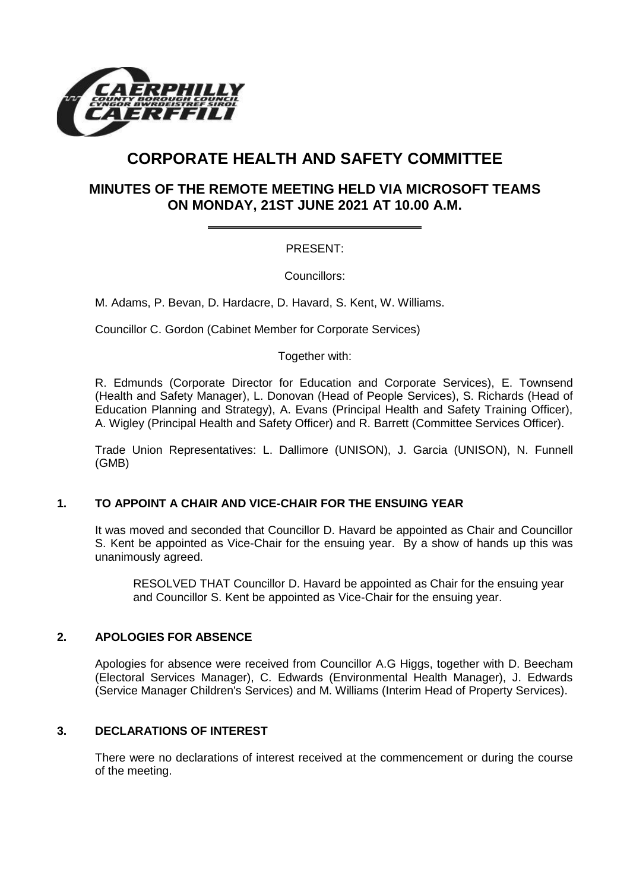

# **CORPORATE HEALTH AND SAFETY COMMITTEE**

## **MINUTES OF THE REMOTE MEETING HELD VIA MICROSOFT TEAMS ON MONDAY, 21ST JUNE 2021 AT 10.00 A.M.**

## PRESENT:

Councillors:

M. Adams, P. Bevan, D. Hardacre, D. Havard, S. Kent, W. Williams.

Councillor C. Gordon (Cabinet Member for Corporate Services)

Together with:

R. Edmunds (Corporate Director for Education and Corporate Services), E. Townsend (Health and Safety Manager), L. Donovan (Head of People Services), S. Richards (Head of Education Planning and Strategy), A. Evans (Principal Health and Safety Training Officer), A. Wigley (Principal Health and Safety Officer) and R. Barrett (Committee Services Officer).

Trade Union Representatives: L. Dallimore (UNISON), J. Garcia (UNISON), N. Funnell (GMB)

### **1. TO APPOINT A CHAIR AND VICE-CHAIR FOR THE ENSUING YEAR**

It was moved and seconded that Councillor D. Havard be appointed as Chair and Councillor S. Kent be appointed as Vice-Chair for the ensuing year. By a show of hands up this was unanimously agreed.

RESOLVED THAT Councillor D. Havard be appointed as Chair for the ensuing year and Councillor S. Kent be appointed as Vice-Chair for the ensuing year.

### **2. APOLOGIES FOR ABSENCE**

Apologies for absence were received from Councillor A.G Higgs, together with D. Beecham (Electoral Services Manager), C. Edwards (Environmental Health Manager), J. Edwards (Service Manager Children's Services) and M. Williams (Interim Head of Property Services).

### **3. DECLARATIONS OF INTEREST**

There were no declarations of interest received at the commencement or during the course of the meeting.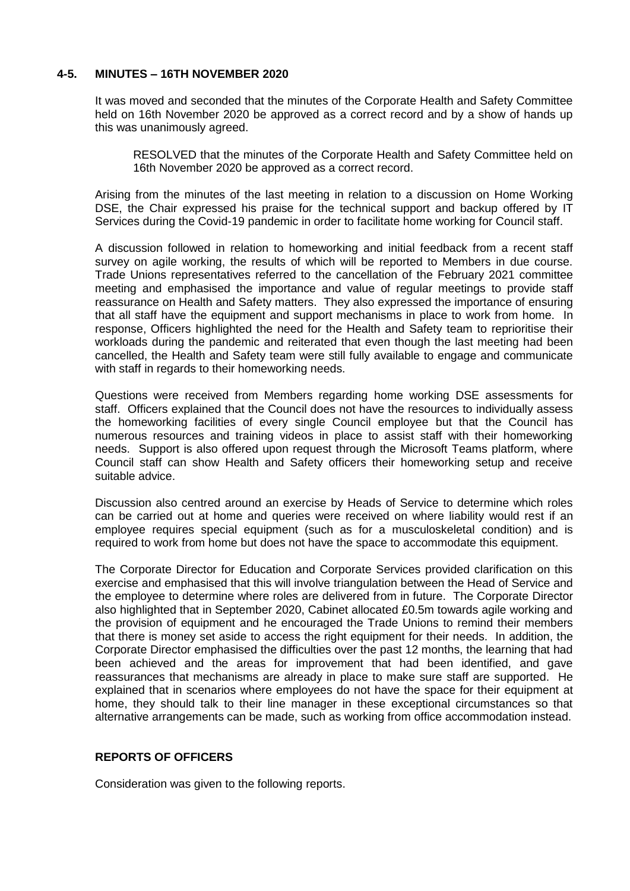#### **4-5. MINUTES – 16TH NOVEMBER 2020**

It was moved and seconded that the minutes of the Corporate Health and Safety Committee held on 16th November 2020 be approved as a correct record and by a show of hands up this was unanimously agreed.

RESOLVED that the minutes of the Corporate Health and Safety Committee held on 16th November 2020 be approved as a correct record.

Arising from the minutes of the last meeting in relation to a discussion on Home Working DSE, the Chair expressed his praise for the technical support and backup offered by IT Services during the Covid-19 pandemic in order to facilitate home working for Council staff.

A discussion followed in relation to homeworking and initial feedback from a recent staff survey on agile working, the results of which will be reported to Members in due course. Trade Unions representatives referred to the cancellation of the February 2021 committee meeting and emphasised the importance and value of regular meetings to provide staff reassurance on Health and Safety matters. They also expressed the importance of ensuring that all staff have the equipment and support mechanisms in place to work from home. In response, Officers highlighted the need for the Health and Safety team to reprioritise their workloads during the pandemic and reiterated that even though the last meeting had been cancelled, the Health and Safety team were still fully available to engage and communicate with staff in regards to their homeworking needs.

Questions were received from Members regarding home working DSE assessments for staff. Officers explained that the Council does not have the resources to individually assess the homeworking facilities of every single Council employee but that the Council has numerous resources and training videos in place to assist staff with their homeworking needs. Support is also offered upon request through the Microsoft Teams platform, where Council staff can show Health and Safety officers their homeworking setup and receive suitable advice.

Discussion also centred around an exercise by Heads of Service to determine which roles can be carried out at home and queries were received on where liability would rest if an employee requires special equipment (such as for a musculoskeletal condition) and is required to work from home but does not have the space to accommodate this equipment.

The Corporate Director for Education and Corporate Services provided clarification on this exercise and emphasised that this will involve triangulation between the Head of Service and the employee to determine where roles are delivered from in future. The Corporate Director also highlighted that in September 2020, Cabinet allocated £0.5m towards agile working and the provision of equipment and he encouraged the Trade Unions to remind their members that there is money set aside to access the right equipment for their needs. In addition, the Corporate Director emphasised the difficulties over the past 12 months, the learning that had been achieved and the areas for improvement that had been identified, and gave reassurances that mechanisms are already in place to make sure staff are supported. He explained that in scenarios where employees do not have the space for their equipment at home, they should talk to their line manager in these exceptional circumstances so that alternative arrangements can be made, such as working from office accommodation instead.

#### **REPORTS OF OFFICERS**

Consideration was given to the following reports.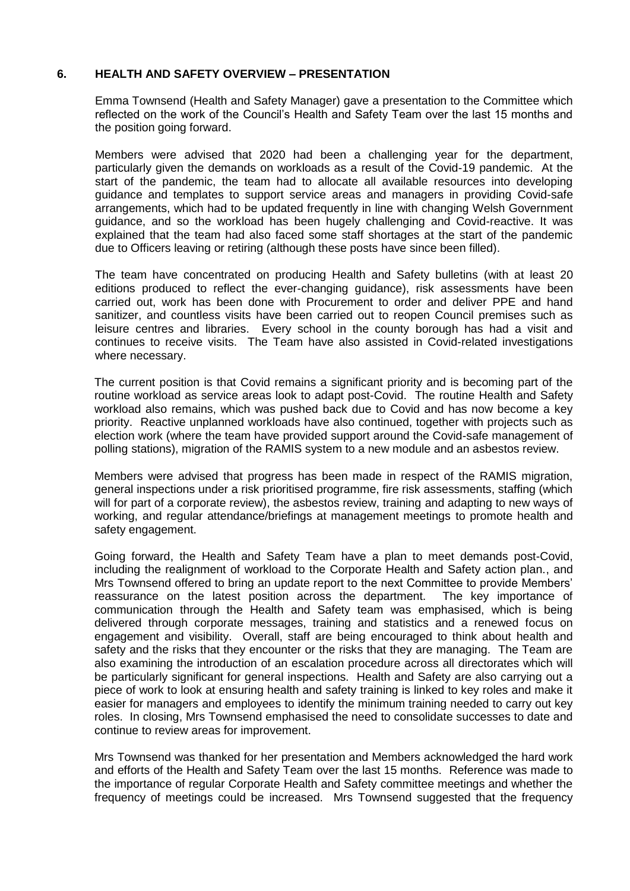#### **6. HEALTH AND SAFETY OVERVIEW – PRESENTATION**

Emma Townsend (Health and Safety Manager) gave a presentation to the Committee which reflected on the work of the Council's Health and Safety Team over the last 15 months and the position going forward.

Members were advised that 2020 had been a challenging year for the department, particularly given the demands on workloads as a result of the Covid-19 pandemic. At the start of the pandemic, the team had to allocate all available resources into developing guidance and templates to support service areas and managers in providing Covid-safe arrangements, which had to be updated frequently in line with changing Welsh Government guidance, and so the workload has been hugely challenging and Covid-reactive. It was explained that the team had also faced some staff shortages at the start of the pandemic due to Officers leaving or retiring (although these posts have since been filled).

The team have concentrated on producing Health and Safety bulletins (with at least 20 editions produced to reflect the ever-changing guidance), risk assessments have been carried out, work has been done with Procurement to order and deliver PPE and hand sanitizer, and countless visits have been carried out to reopen Council premises such as leisure centres and libraries. Every school in the county borough has had a visit and continues to receive visits. The Team have also assisted in Covid-related investigations where necessary.

The current position is that Covid remains a significant priority and is becoming part of the routine workload as service areas look to adapt post-Covid. The routine Health and Safety workload also remains, which was pushed back due to Covid and has now become a key priority. Reactive unplanned workloads have also continued, together with projects such as election work (where the team have provided support around the Covid-safe management of polling stations), migration of the RAMIS system to a new module and an asbestos review.

Members were advised that progress has been made in respect of the RAMIS migration, general inspections under a risk prioritised programme, fire risk assessments, staffing (which will for part of a corporate review), the asbestos review, training and adapting to new ways of working, and regular attendance/briefings at management meetings to promote health and safety engagement.

Going forward, the Health and Safety Team have a plan to meet demands post-Covid, including the realignment of workload to the Corporate Health and Safety action plan., and Mrs Townsend offered to bring an update report to the next Committee to provide Members' reassurance on the latest position across the department. The key importance of communication through the Health and Safety team was emphasised, which is being delivered through corporate messages, training and statistics and a renewed focus on engagement and visibility. Overall, staff are being encouraged to think about health and safety and the risks that they encounter or the risks that they are managing. The Team are also examining the introduction of an escalation procedure across all directorates which will be particularly significant for general inspections. Health and Safety are also carrying out a piece of work to look at ensuring health and safety training is linked to key roles and make it easier for managers and employees to identify the minimum training needed to carry out key roles. In closing, Mrs Townsend emphasised the need to consolidate successes to date and continue to review areas for improvement.

Mrs Townsend was thanked for her presentation and Members acknowledged the hard work and efforts of the Health and Safety Team over the last 15 months. Reference was made to the importance of regular Corporate Health and Safety committee meetings and whether the frequency of meetings could be increased. Mrs Townsend suggested that the frequency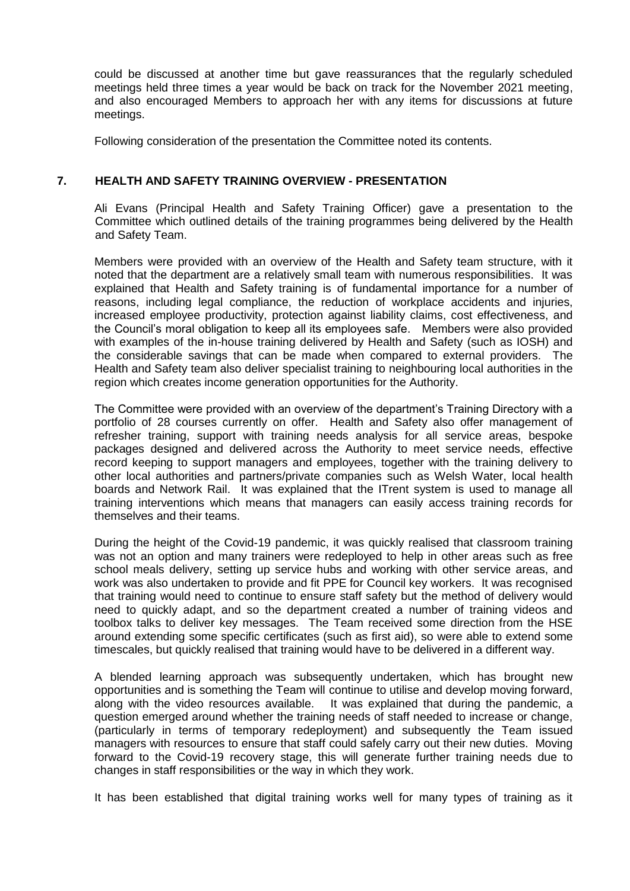could be discussed at another time but gave reassurances that the regularly scheduled meetings held three times a year would be back on track for the November 2021 meeting, and also encouraged Members to approach her with any items for discussions at future meetings.

Following consideration of the presentation the Committee noted its contents.

### **7. HEALTH AND SAFETY TRAINING OVERVIEW - PRESENTATION**

Ali Evans (Principal Health and Safety Training Officer) gave a presentation to the Committee which outlined details of the training programmes being delivered by the Health and Safety Team.

Members were provided with an overview of the Health and Safety team structure, with it noted that the department are a relatively small team with numerous responsibilities. It was explained that Health and Safety training is of fundamental importance for a number of reasons, including legal compliance, the reduction of workplace accidents and injuries, increased employee productivity, protection against liability claims, cost effectiveness, and the Council's moral obligation to keep all its employees safe. Members were also provided with examples of the in-house training delivered by Health and Safety (such as IOSH) and the considerable savings that can be made when compared to external providers. The Health and Safety team also deliver specialist training to neighbouring local authorities in the region which creates income generation opportunities for the Authority.

The Committee were provided with an overview of the department's Training Directory with a portfolio of 28 courses currently on offer. Health and Safety also offer management of refresher training, support with training needs analysis for all service areas, bespoke packages designed and delivered across the Authority to meet service needs, effective record keeping to support managers and employees, together with the training delivery to other local authorities and partners/private companies such as Welsh Water, local health boards and Network Rail. It was explained that the ITrent system is used to manage all training interventions which means that managers can easily access training records for themselves and their teams.

During the height of the Covid-19 pandemic, it was quickly realised that classroom training was not an option and many trainers were redeployed to help in other areas such as free school meals delivery, setting up service hubs and working with other service areas, and work was also undertaken to provide and fit PPE for Council key workers. It was recognised that training would need to continue to ensure staff safety but the method of delivery would need to quickly adapt, and so the department created a number of training videos and toolbox talks to deliver key messages. The Team received some direction from the HSE around extending some specific certificates (such as first aid), so were able to extend some timescales, but quickly realised that training would have to be delivered in a different way.

A blended learning approach was subsequently undertaken, which has brought new opportunities and is something the Team will continue to utilise and develop moving forward, along with the video resources available. It was explained that during the pandemic, a question emerged around whether the training needs of staff needed to increase or change, (particularly in terms of temporary redeployment) and subsequently the Team issued managers with resources to ensure that staff could safely carry out their new duties. Moving forward to the Covid-19 recovery stage, this will generate further training needs due to changes in staff responsibilities or the way in which they work.

It has been established that digital training works well for many types of training as it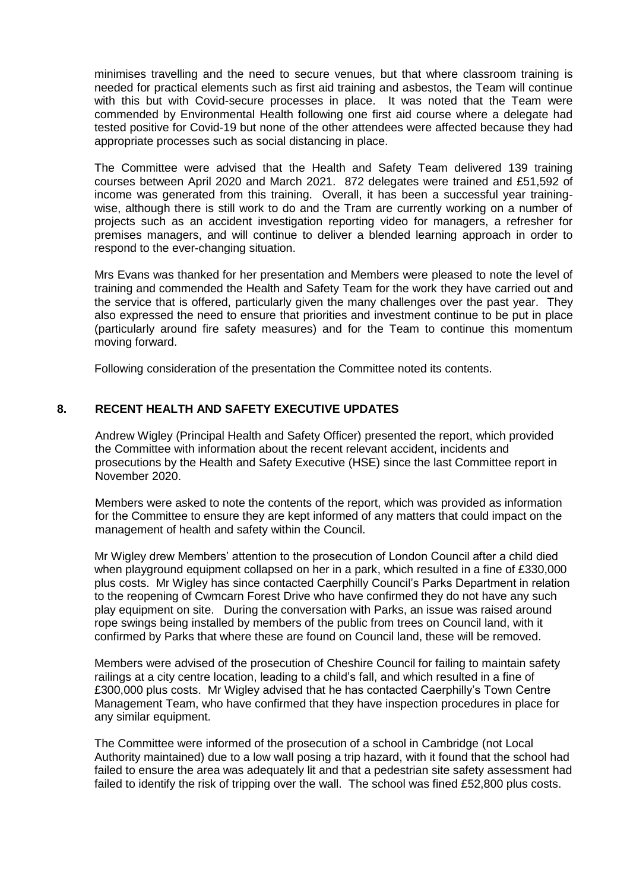minimises travelling and the need to secure venues, but that where classroom training is needed for practical elements such as first aid training and asbestos, the Team will continue with this but with Covid-secure processes in place. It was noted that the Team were commended by Environmental Health following one first aid course where a delegate had tested positive for Covid-19 but none of the other attendees were affected because they had appropriate processes such as social distancing in place.

The Committee were advised that the Health and Safety Team delivered 139 training courses between April 2020 and March 2021. 872 delegates were trained and £51,592 of income was generated from this training. Overall, it has been a successful year trainingwise, although there is still work to do and the Tram are currently working on a number of projects such as an accident investigation reporting video for managers, a refresher for premises managers, and will continue to deliver a blended learning approach in order to respond to the ever-changing situation.

Mrs Evans was thanked for her presentation and Members were pleased to note the level of training and commended the Health and Safety Team for the work they have carried out and the service that is offered, particularly given the many challenges over the past year. They also expressed the need to ensure that priorities and investment continue to be put in place (particularly around fire safety measures) and for the Team to continue this momentum moving forward.

Following consideration of the presentation the Committee noted its contents.

#### **8. RECENT HEALTH AND SAFETY EXECUTIVE UPDATES**

Andrew Wigley (Principal Health and Safety Officer) presented the report, which provided the Committee with information about the recent relevant accident, incidents and prosecutions by the Health and Safety Executive (HSE) since the last Committee report in November 2020.

Members were asked to note the contents of the report, which was provided as information for the Committee to ensure they are kept informed of any matters that could impact on the management of health and safety within the Council.

Mr Wigley drew Members' attention to the prosecution of London Council after a child died when playground equipment collapsed on her in a park, which resulted in a fine of £330,000 plus costs. Mr Wigley has since contacted Caerphilly Council's Parks Department in relation to the reopening of Cwmcarn Forest Drive who have confirmed they do not have any such play equipment on site. During the conversation with Parks, an issue was raised around rope swings being installed by members of the public from trees on Council land, with it confirmed by Parks that where these are found on Council land, these will be removed.

Members were advised of the prosecution of Cheshire Council for failing to maintain safety railings at a city centre location, leading to a child's fall, and which resulted in a fine of £300,000 plus costs. Mr Wigley advised that he has contacted Caerphilly's Town Centre Management Team, who have confirmed that they have inspection procedures in place for any similar equipment.

The Committee were informed of the prosecution of a school in Cambridge (not Local Authority maintained) due to a low wall posing a trip hazard, with it found that the school had failed to ensure the area was adequately lit and that a pedestrian site safety assessment had failed to identify the risk of tripping over the wall. The school was fined £52,800 plus costs.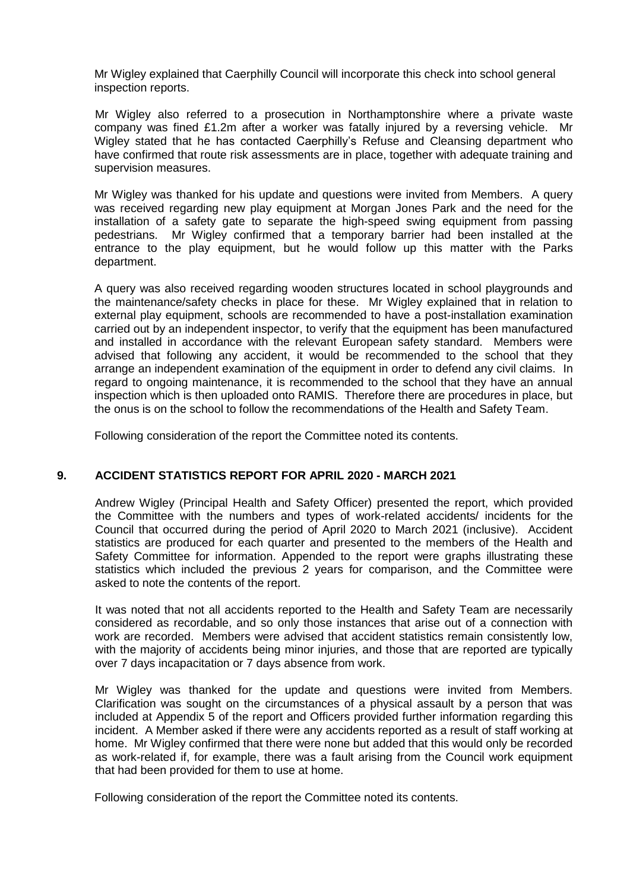Mr Wigley explained that Caerphilly Council will incorporate this check into school general inspection reports.

Mr Wigley also referred to a prosecution in Northamptonshire where a private waste company was fined £1.2m after a worker was fatally injured by a reversing vehicle. Mr Wigley stated that he has contacted Caerphilly's Refuse and Cleansing department who have confirmed that route risk assessments are in place, together with adequate training and supervision measures.

Mr Wigley was thanked for his update and questions were invited from Members. A query was received regarding new play equipment at Morgan Jones Park and the need for the installation of a safety gate to separate the high-speed swing equipment from passing pedestrians. Mr Wigley confirmed that a temporary barrier had been installed at the entrance to the play equipment, but he would follow up this matter with the Parks department.

A query was also received regarding wooden structures located in school playgrounds and the maintenance/safety checks in place for these. Mr Wigley explained that in relation to external play equipment, schools are recommended to have a post-installation examination carried out by an independent inspector, to verify that the equipment has been manufactured and installed in accordance with the relevant European safety standard. Members were advised that following any accident, it would be recommended to the school that they arrange an independent examination of the equipment in order to defend any civil claims. In regard to ongoing maintenance, it is recommended to the school that they have an annual inspection which is then uploaded onto RAMIS. Therefore there are procedures in place, but the onus is on the school to follow the recommendations of the Health and Safety Team.

Following consideration of the report the Committee noted its contents.

### **9. ACCIDENT STATISTICS REPORT FOR APRIL 2020 - MARCH 2021**

Andrew Wigley (Principal Health and Safety Officer) presented the report, which provided the Committee with the numbers and types of work-related accidents/ incidents for the Council that occurred during the period of April 2020 to March 2021 (inclusive). Accident statistics are produced for each quarter and presented to the members of the Health and Safety Committee for information. Appended to the report were graphs illustrating these statistics which included the previous 2 years for comparison, and the Committee were asked to note the contents of the report.

It was noted that not all accidents reported to the Health and Safety Team are necessarily considered as recordable, and so only those instances that arise out of a connection with work are recorded. Members were advised that accident statistics remain consistently low, with the majority of accidents being minor injuries, and those that are reported are typically over 7 days incapacitation or 7 days absence from work.

Mr Wigley was thanked for the update and questions were invited from Members. Clarification was sought on the circumstances of a physical assault by a person that was included at Appendix 5 of the report and Officers provided further information regarding this incident. A Member asked if there were any accidents reported as a result of staff working at home. Mr Wigley confirmed that there were none but added that this would only be recorded as work-related if, for example, there was a fault arising from the Council work equipment that had been provided for them to use at home.

Following consideration of the report the Committee noted its contents.